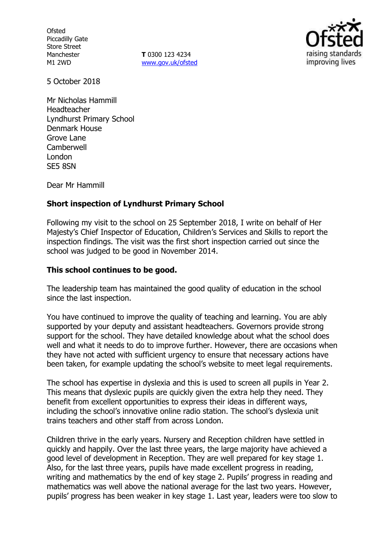**Ofsted** Piccadilly Gate Store Street Manchester M1 2WD

**T** 0300 123 4234 www.gov.uk/ofsted



5 October 2018

Mr Nicholas Hammill Headteacher Lyndhurst Primary School Denmark House Grove Lane **Camberwell** London SE5 8SN

Dear Mr Hammill

# **Short inspection of Lyndhurst Primary School**

Following my visit to the school on 25 September 2018, I write on behalf of Her Majesty's Chief Inspector of Education, Children's Services and Skills to report the inspection findings. The visit was the first short inspection carried out since the school was judged to be good in November 2014.

## **This school continues to be good.**

The leadership team has maintained the good quality of education in the school since the last inspection.

You have continued to improve the quality of teaching and learning. You are ably supported by your deputy and assistant headteachers. Governors provide strong support for the school. They have detailed knowledge about what the school does well and what it needs to do to improve further. However, there are occasions when they have not acted with sufficient urgency to ensure that necessary actions have been taken, for example updating the school's website to meet legal requirements.

The school has expertise in dyslexia and this is used to screen all pupils in Year 2. This means that dyslexic pupils are quickly given the extra help they need. They benefit from excellent opportunities to express their ideas in different ways, including the school's innovative online radio station. The school's dyslexia unit trains teachers and other staff from across London.

Children thrive in the early years. Nursery and Reception children have settled in quickly and happily. Over the last three years, the large majority have achieved a good level of development in Reception. They are well prepared for key stage 1. Also, for the last three years, pupils have made excellent progress in reading, writing and mathematics by the end of key stage 2. Pupils' progress in reading and mathematics was well above the national average for the last two years. However, pupils' progress has been weaker in key stage 1. Last year, leaders were too slow to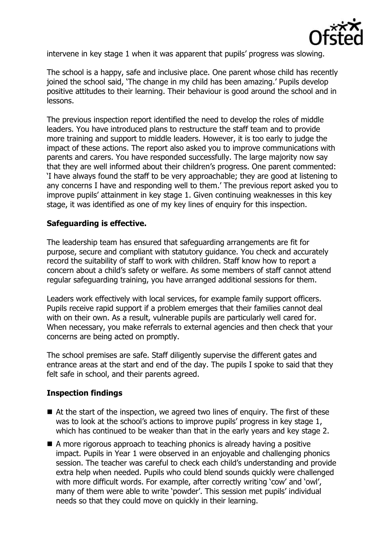

intervene in key stage 1 when it was apparent that pupils' progress was slowing.

The school is a happy, safe and inclusive place. One parent whose child has recently joined the school said, 'The change in my child has been amazing.' Pupils develop positive attitudes to their learning. Their behaviour is good around the school and in lessons.

The previous inspection report identified the need to develop the roles of middle leaders. You have introduced plans to restructure the staff team and to provide more training and support to middle leaders. However, it is too early to judge the impact of these actions. The report also asked you to improve communications with parents and carers. You have responded successfully. The large majority now say that they are well informed about their children's progress. One parent commented: 'I have always found the staff to be very approachable; they are good at listening to any concerns I have and responding well to them.' The previous report asked you to improve pupils' attainment in key stage 1. Given continuing weaknesses in this key stage, it was identified as one of my key lines of enquiry for this inspection.

# **Safeguarding is effective.**

The leadership team has ensured that safeguarding arrangements are fit for purpose, secure and compliant with statutory guidance. You check and accurately record the suitability of staff to work with children. Staff know how to report a concern about a child's safety or welfare. As some members of staff cannot attend regular safeguarding training, you have arranged additional sessions for them.

Leaders work effectively with local services, for example family support officers. Pupils receive rapid support if a problem emerges that their families cannot deal with on their own. As a result, vulnerable pupils are particularly well cared for. When necessary, you make referrals to external agencies and then check that your concerns are being acted on promptly.

The school premises are safe. Staff diligently supervise the different gates and entrance areas at the start and end of the day. The pupils I spoke to said that they felt safe in school, and their parents agreed.

### **Inspection findings**

- $\blacksquare$  At the start of the inspection, we agreed two lines of enguiry. The first of these was to look at the school's actions to improve pupils' progress in key stage 1, which has continued to be weaker than that in the early years and key stage 2.
- A more rigorous approach to teaching phonics is already having a positive impact. Pupils in Year 1 were observed in an enjoyable and challenging phonics session. The teacher was careful to check each child's understanding and provide extra help when needed. Pupils who could blend sounds quickly were challenged with more difficult words. For example, after correctly writing 'cow' and 'owl', many of them were able to write 'powder'. This session met pupils' individual needs so that they could move on quickly in their learning.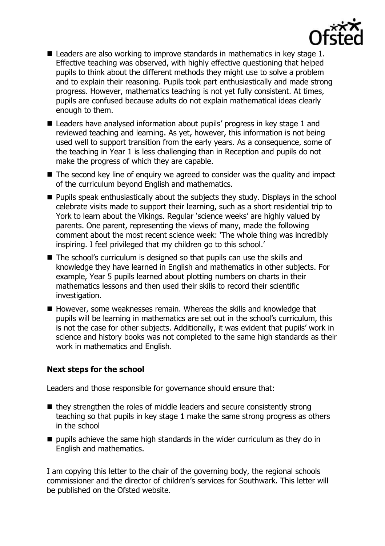

- Leaders are also working to improve standards in mathematics in key stage 1. Effective teaching was observed, with highly effective questioning that helped pupils to think about the different methods they might use to solve a problem and to explain their reasoning. Pupils took part enthusiastically and made strong progress. However, mathematics teaching is not yet fully consistent. At times, pupils are confused because adults do not explain mathematical ideas clearly enough to them.
- Leaders have analysed information about pupils' progress in key stage 1 and reviewed teaching and learning. As yet, however, this information is not being used well to support transition from the early years. As a consequence, some of the teaching in Year 1 is less challenging than in Reception and pupils do not make the progress of which they are capable.
- $\blacksquare$  The second key line of enquiry we agreed to consider was the quality and impact of the curriculum beyond English and mathematics.
- **Pupils speak enthusiastically about the subjects they study. Displays in the school** celebrate visits made to support their learning, such as a short residential trip to York to learn about the Vikings. Regular 'science weeks' are highly valued by parents. One parent, representing the views of many, made the following comment about the most recent science week: 'The whole thing was incredibly inspiring. I feel privileged that my children go to this school.'
- The school's curriculum is designed so that pupils can use the skills and knowledge they have learned in English and mathematics in other subjects. For example, Year 5 pupils learned about plotting numbers on charts in their mathematics lessons and then used their skills to record their scientific investigation.
- However, some weaknesses remain. Whereas the skills and knowledge that pupils will be learning in mathematics are set out in the school's curriculum, this is not the case for other subjects. Additionally, it was evident that pupils' work in science and history books was not completed to the same high standards as their work in mathematics and English.

### **Next steps for the school**

Leaders and those responsible for governance should ensure that:

- $\blacksquare$  they strengthen the roles of middle leaders and secure consistently strong teaching so that pupils in key stage 1 make the same strong progress as others in the school
- $\blacksquare$  pupils achieve the same high standards in the wider curriculum as they do in English and mathematics.

I am copying this letter to the chair of the governing body, the regional schools commissioner and the director of children's services for Southwark. This letter will be published on the Ofsted website.